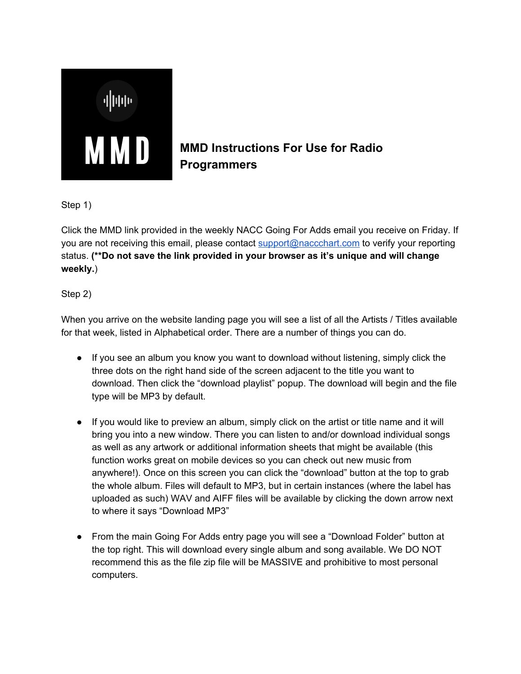

## **MMD Instructions For Use for Radio Programmers**

Step 1)

Click the MMD link provided in the weekly NACC Going For Adds email you receive on Friday. If you are not receiving this email, please contact [support@naccchart.com](mailto:support@naccchart.com) to verify your reporting status. **(\*\*Do not save the link provided in your browser as it's unique and will change weekly.**)

Step 2)

When you arrive on the website landing page you will see a list of all the Artists / Titles available for that week, listed in Alphabetical order. There are a number of things you can do.

- If you see an album you know you want to download without listening, simply click the three dots on the right hand side of the screen adjacent to the title you want to download. Then click the "download playlist" popup. The download will begin and the file type will be MP3 by default.
- If you would like to preview an album, simply click on the artist or title name and it will bring you into a new window. There you can listen to and/or download individual songs as well as any artwork or additional information sheets that might be available (this function works great on mobile devices so you can check out new music from anywhere!). Once on this screen you can click the "download" button at the top to grab the whole album. Files will default to MP3, but in certain instances (where the label has uploaded as such) WAV and AIFF files will be available by clicking the down arrow next to where it says "Download MP3"
- From the main Going For Adds entry page you will see a "Download Folder" button at the top right. This will download every single album and song available. We DO NOT recommend this as the file zip file will be MASSIVE and prohibitive to most personal computers.